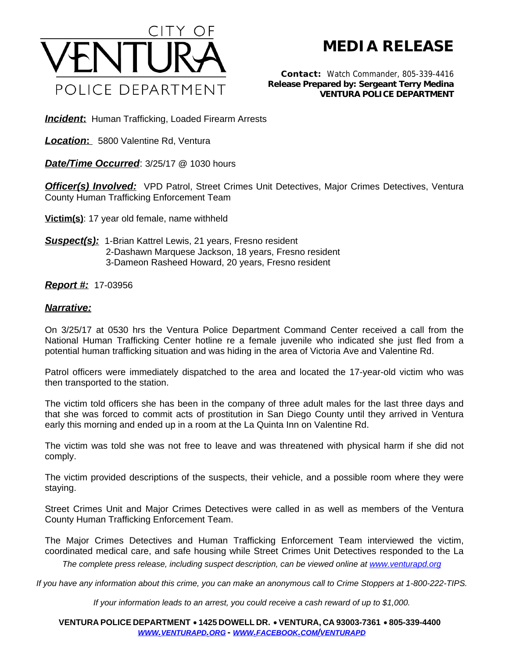

## **MEDIA RELEASE**

*Contact:* Watch Commander, 805-339-4416 *Release Prepared by: Sergeant Terry Medina* **VENTURA POLICE DEPARTMENT**

**Incident:** Human Trafficking, Loaded Firearm Arrests

*Location***:** 5800 Valentine Rd, Ventura

*Date/Time Occurred*: 3/25/17 @ 1030 hours

**Officer(s) Involved:** VPD Patrol, Street Crimes Unit Detectives, Major Crimes Detectives, Ventura County Human Trafficking Enforcement Team

**Victim(s)**: 17 year old female, name withheld

*Suspect(s):* 1-Brian Kattrel Lewis, 21 years, Fresno resident 2-Dashawn Marquese Jackson, 18 years, Fresno resident 3-Dameon Rasheed Howard, 20 years, Fresno resident

## *Report #:* 17-03956

## *Narrative:*

On 3/25/17 at 0530 hrs the Ventura Police Department Command Center received a call from the National Human Trafficking Center hotline re a female juvenile who indicated she just fled from a potential human trafficking situation and was hiding in the area of Victoria Ave and Valentine Rd.

Patrol officers were immediately dispatched to the area and located the 17-year-old victim who was then transported to the station.

The victim told officers she has been in the company of three adult males for the last three days and that she was forced to commit acts of prostitution in San Diego County until they arrived in Ventura early this morning and ended up in a room at the La Quinta Inn on Valentine Rd.

The victim was told she was not free to leave and was threatened with physical harm if she did not comply.

The victim provided descriptions of the suspects, their vehicle, and a possible room where they were staying.

Street Crimes Unit and Major Crimes Detectives were called in as well as members of the Ventura County Human Trafficking Enforcement Team.

The Major Crimes Detectives and Human Trafficking Enforcement Team interviewed the victim, coordinated medical care, and safe housing while Street Crimes Unit Detectives responded to the La

*The complete press release, including suspect description, can be viewed online at [www.venturapd.org](http://www.venturapd.org)* 

*If you have any information about this crime, you can make an anonymous call to Crime Stoppers at 1-800-222-TIPS.*

*If your information leads to an arrest, you could receive a cash reward of up to \$1,000.*